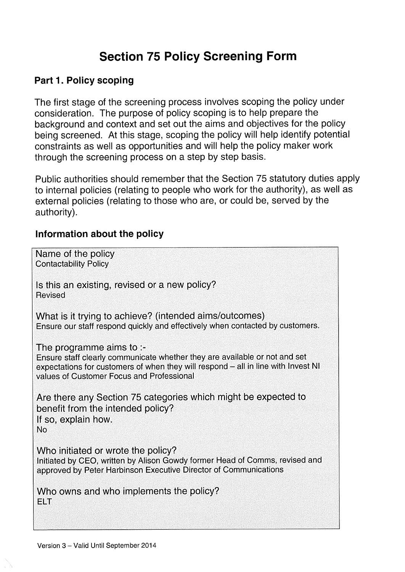# Section 75 Policy Screening Form

## Part 1. Policy scoping

The first stage of the screening process involves scoping the policy under consideration. The purpose of policy scoping is to help prepare the background and context and set out the aims and objectives for the policy being screened. At this stage, scoping the policy will help identify potential constraints as well as opportunities and will help the policy maker work through the screening process on a step by step basis.

Public authorities should remember that the Section 75 statutory duties apply to internal policies (relating to people who work for the authority), as well as external policies (relating to those who are, or could be, served by the authority).

#### Information about the policy

Name of the policy Contactability Policy Is this an existing, revised or a new policy? Revised What is it trying to achieve? (intended aims/outcomes) Ensure our staff respond quickly and effectively when contacted by customers. The programme aims to :- Ensure staff clearly communicate whether they are available or not and set expectations for customers of when they will respond — all in line with Invest NI values of Customer Focus and Professional Are there any Section 75 categories which might be expected to benefit from the intended policy? It so, explain how. No Who initiated or wrote the policy? Initiated by CEO, written by Alison Gowdy former Head of Comms, revised and approved by Peter Harbinson Executive Director of Communications Who owns and who implements the policy? ELT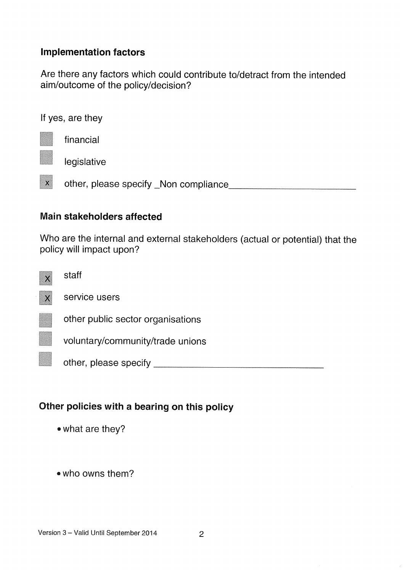#### Implementation factors

Are there any factors which could contribute to/detract from the intended aim/outcome of the policy/decision?

If yes, are they

financial

legislative

<sup>x</sup> other, please specify \_Non compliance

#### Main stakeholders affected

Who are the internal and external stakeholders (actual or potential) that the policy will impact upon?



other, please specify

# Other policies with <sup>a</sup> bearing on this policy

• what are they?

• who owns them?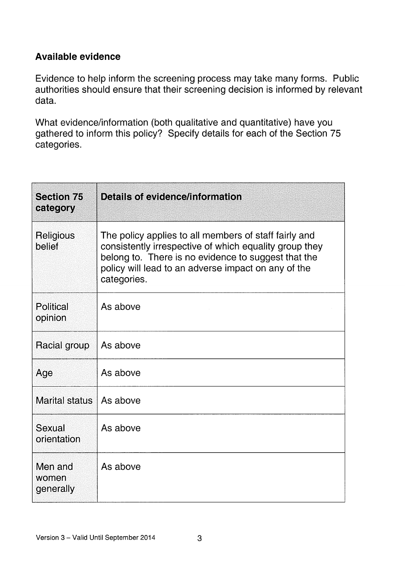# Available evidence

Evidence to help inform the screening process may take many forms. Public authorities should ensure that their screening decision is informed by relevant data.

What evidence/information (both qualitative and quantitative) have you gathered to inform this policy? Specify details for each of the Section 75 categories.

| <b>Section 75</b><br>category | <b>Details of evidence/information</b>                                                                                                                                                                                                       |
|-------------------------------|----------------------------------------------------------------------------------------------------------------------------------------------------------------------------------------------------------------------------------------------|
| Religious<br>belief           | The policy applies to all members of staff fairly and<br>consistently irrespective of which equality group they<br>belong to. There is no evidence to suggest that the<br>policy will lead to an adverse impact on any of the<br>categories. |
| <b>Political</b><br>opinion   | As above                                                                                                                                                                                                                                     |
| Racial group                  | As above                                                                                                                                                                                                                                     |
| Age                           | As above                                                                                                                                                                                                                                     |
| <b>Marital status</b>         | As above                                                                                                                                                                                                                                     |
| Sexual<br>orientation         | As above                                                                                                                                                                                                                                     |
| Men and<br>women<br>generally | As above                                                                                                                                                                                                                                     |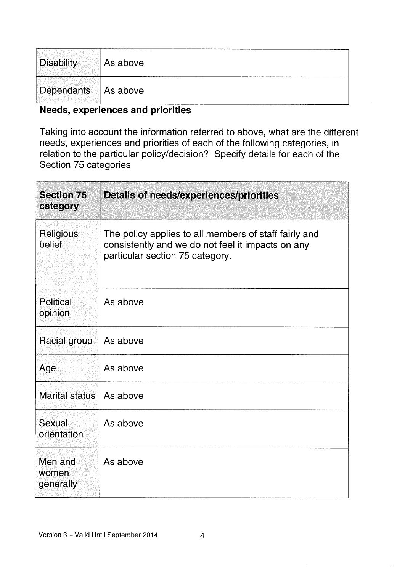| Disability            | As above |
|-----------------------|----------|
| Dependants   As above |          |

#### Needs, experiences and priorities

Taking into account the information referred to above, what are the different needs, experiences and priorities of each of the following categories, in relation to the particular policy/decision? Specify details for each of the Section 75 categories

| <b>Section 75</b><br>category | <b>Details of needs/experiences/priorities</b>                                                                                                |
|-------------------------------|-----------------------------------------------------------------------------------------------------------------------------------------------|
| Religious<br>belief           | The policy applies to all members of staff fairly and<br>consistently and we do not feel it impacts on any<br>particular section 75 category. |
| <b>Political</b><br>opinion   | As above                                                                                                                                      |
| Racial group                  | As above                                                                                                                                      |
| Age                           | As above                                                                                                                                      |
| <b>Marital status</b>         | As above                                                                                                                                      |
| Sexual<br>orientation         | As above                                                                                                                                      |
| Men and<br>women<br>generally | As above                                                                                                                                      |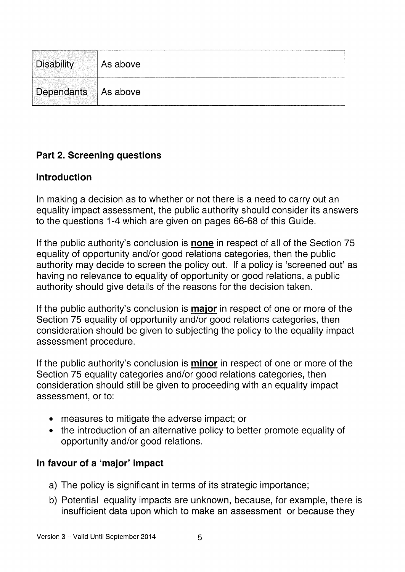| Disability            | As above |
|-----------------------|----------|
| Dependants   As above |          |

# Part 2. Screening questions

# Introduction

In making a decision as to whether or not there is a need to carry out an equality impact assessment, the public authority should consider its answers to the questions 1-4 which are given on pages 66-68 of this Guide.

If the public authority's conclusion is **none** in respect of all of the Section 75 equality of opportunity and/or good relations categories, then the public authority may decide to screen the policy out. If a policy is 'screened out' as having no relevance to equality of opportunity or good relations, a public authority should give details of the reasons for the decision taken.

If the public authority's conclusion is **major** in respect of one or more of the Section 75 equality of opportunity and/or good relations categories, then consideration should be given to subjecting the policy to the equality impact assessment procedure.

If the public authority's conclusion is **minor** in respect of one or more of the Section 75 equality categories and/or good relations categories, then consideration should still be given to proceeding with an equality impact assessment, or to:

- measures to mitigate the adverse impact; or
- the introduction of an alternative policy to better promote equality of opportunity and/or good relations.

# In favour of a 'major' impact

- a) The policy is significant in terms of its strategic importance;
- b) Potential equality impacts are unknown, because, for example, there is insufficient data upon which to make an assessment or because they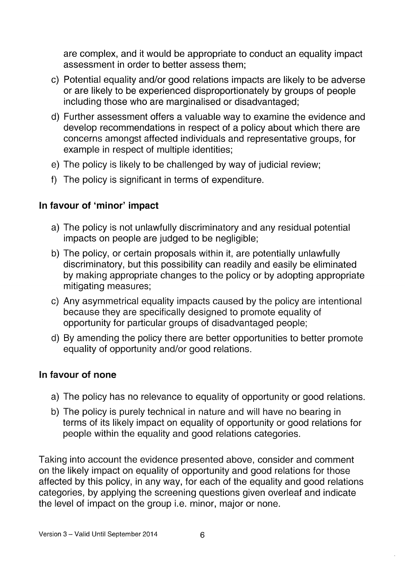are complex, and it would be appropriate to conduct an equality impact assessment in order to better assess them;

- c) Potential equality and/or good relations impacts are likely to be adverse or are likely to be experienced disproportionately by groups of people including those who are marginalised or disadvantaged;
- U) Further assessment offers a valuable way to examine the evidence and develop recommendations in respect of a policy about which there are concerns amongst affected individuals and representative groups, for example in respect of multiple identities;
- e) The policy is likely to be challenged by way of judicial review;
- f) The policy is significant in terms of expenditure.

# In favour of 'minor' impact

- a) The policy is not unlawfully discriminatory and any residual potential impacts on people are judged to be negligible;
- b) The policy, or certain proposals within it, are potentially unlawfully discriminatory, but this possibility can readily and easily be eliminated by making appropriate changes to the policy or by adopting appropriate mitigating measures;
- c) Any asymmetrical equality impacts caused by the policy are intentional because they are specifically designed to promote equality of opportunity for particular groups of disadvantaged people;
- d) By amending the policy there are better opportunities to better promote equality of opportunity and/or good relations.

#### In favour of none

- a) The policy has no relevance to equality of opportunity or good relations.
- b) The policy is purely technical in nature and will have no bearing in terms of its likely impact on equality of opportunity or good relations for people within the equality and good relations categories.

Taking into account the evidence presented above, consider and comment on the likely impact on equality of opportunity and good relations for those affected by this policy, in any way, for each of the equality and good relations categories, by applying the screening questions given overleaf and indicate the level of impact on the group i.e. minor, major or none.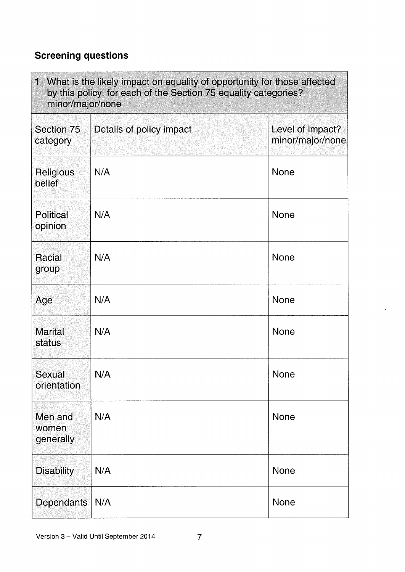# Screening questions

| What is the likely impact on equality of opportunity for those affected<br>I<br>by this policy, for each of the Section 75 equality categories?<br>minor/major/none |                          |                                      |
|---------------------------------------------------------------------------------------------------------------------------------------------------------------------|--------------------------|--------------------------------------|
| Section 75<br>category                                                                                                                                              | Details of policy impact | Level of impact?<br>minor/major/none |
| Religious<br>belief                                                                                                                                                 | N/A                      | <b>None</b>                          |
| <b>Political</b><br>opinion                                                                                                                                         | N/A                      | None                                 |
| Racial<br>group                                                                                                                                                     | N/A                      | <b>None</b>                          |
| Age                                                                                                                                                                 | N/A                      | <b>None</b>                          |
| <b>Marital</b><br>status                                                                                                                                            | N/A                      | <b>None</b>                          |
| Sexual<br>orientation                                                                                                                                               | N/A                      | <b>None</b>                          |
| Men and<br>women<br>generally                                                                                                                                       | N/A                      | <b>None</b>                          |
| <b>Disability</b>                                                                                                                                                   | N/A                      | None                                 |
| Dependants                                                                                                                                                          | N/A                      | <b>None</b>                          |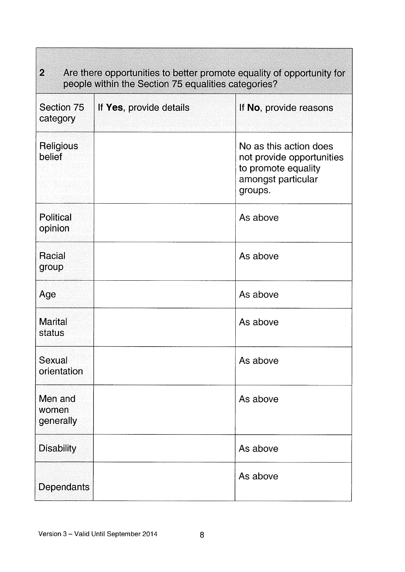| $\overline{2}$<br>Are there opportunities to better promote equality of opportunity for<br>people within the Section 75 equalities categories? |                         |                                                                                                             |  |
|------------------------------------------------------------------------------------------------------------------------------------------------|-------------------------|-------------------------------------------------------------------------------------------------------------|--|
| Section 75<br>category                                                                                                                         | If Yes, provide details | If No, provide reasons                                                                                      |  |
| Religious<br>belief                                                                                                                            |                         | No as this action does<br>not provide opportunities<br>to promote equality<br>amongst particular<br>groups. |  |
| <b>Political</b><br>opinion                                                                                                                    |                         | As above                                                                                                    |  |
| Racial<br>group                                                                                                                                |                         | As above                                                                                                    |  |
| Age                                                                                                                                            |                         | As above                                                                                                    |  |
| <b>Marital</b><br>status                                                                                                                       |                         | As above                                                                                                    |  |
| Sexual<br>orientation                                                                                                                          |                         | As above                                                                                                    |  |
| Men and<br>women<br>generally                                                                                                                  |                         | As above                                                                                                    |  |
| <b>Disability</b>                                                                                                                              |                         | As above                                                                                                    |  |
| <b>Dependants</b>                                                                                                                              |                         | As above                                                                                                    |  |

**The Common**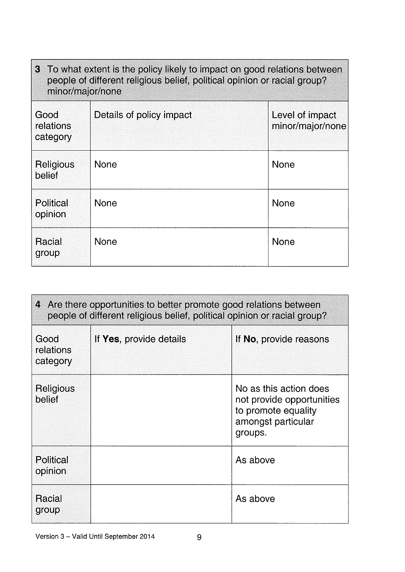| 3 To what extent is the policy likely to impact on good relations between<br>people of different religious belief, political opinion or racial group?<br>minor/major/none |                          |                                     |
|---------------------------------------------------------------------------------------------------------------------------------------------------------------------------|--------------------------|-------------------------------------|
| Good<br>relations<br>category                                                                                                                                             | Details of policy impact | Level of impact<br>minor/major/none |
| Religious<br>belief                                                                                                                                                       | <b>None</b>              | <b>None</b>                         |
| <b>Political</b><br>opinion                                                                                                                                               | <b>None</b>              | <b>None</b>                         |
| Racial<br>group                                                                                                                                                           | None                     | <b>None</b>                         |

| 4 Are there opportunities to better promote good relations between<br>people of different religious belief, political opinion or racial group? |                         |                                                                                                             |  |
|------------------------------------------------------------------------------------------------------------------------------------------------|-------------------------|-------------------------------------------------------------------------------------------------------------|--|
| Good<br>relations<br>category                                                                                                                  | If Yes, provide details | If No, provide reasons                                                                                      |  |
| Religious<br>belief                                                                                                                            |                         | No as this action does<br>not provide opportunities<br>to promote equality<br>amongst particular<br>groups. |  |
| Political<br>opinion                                                                                                                           |                         | As above                                                                                                    |  |
| <b>Racial</b><br>group                                                                                                                         |                         | As above                                                                                                    |  |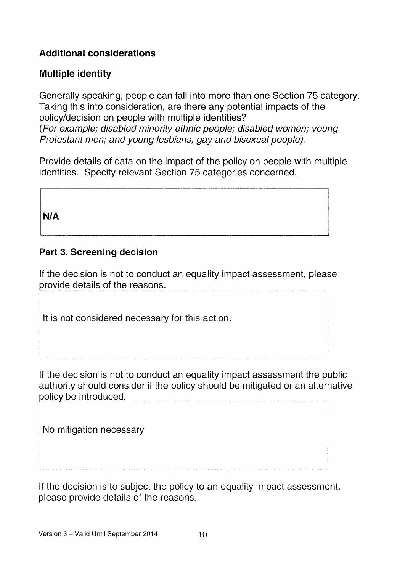# Additional considerations

## Multiple identity

Generally speaking, people can fall into more than one Section 75 category. Taking this into consideration, are there any potential impacts of the policy/decision on people with multiple identities? (For example; disabled minority ethnic people; disabled women; young Protestant men; and young lesbians, gay and bisexual people).

Provide details of data on the impact of the policy on people with multiple identities. Specify relevant Section 75 categories concerned.

N/A

## Part 3. Screening decision

If the decision is not to conduct an equality impact assessment, please provide details of the reasons.

It is not considered necessary for this action.

If the decision is not to conduct an equality impact assessment the public authority should consider if the policy should be mitigated or an alternative policy be introduced.

No mitigation necessary

If the decision is to subject the policy to an equality impact assessment, please provide details of the reasons.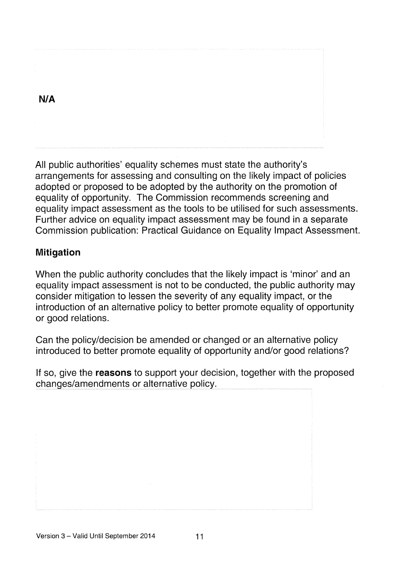#### N/A

All public authorities' equality schemes must state the authority's arrangements for assessing and consulting on the likely impact of policies adopted or proposed to be adopted by the authority on the promotion of equality of opportunity. The Commission recommends screening and equality impact assessment as the tools to be utilised for such assessments. Further advice on equality impact assessment may be found in a separate Commission publication: Practical Guidance on Equality Impact Assessment.

## Mitigation

When the public authority concludes that the likely impact is 'minor' and an equality impact assessment is not to be conducted, the public authority may consider mitigation to lessen the severity of any equality impact, or the introduction of an alternative policy to better promote equality of opportunity or good relations.

Can the policy/decision be amended or changed or an alternative policy introduced to better promote equality of opportunity and/or good relations?

If so, give the reasons to support your decision, together with the proposed changes/amendments or alternative policy.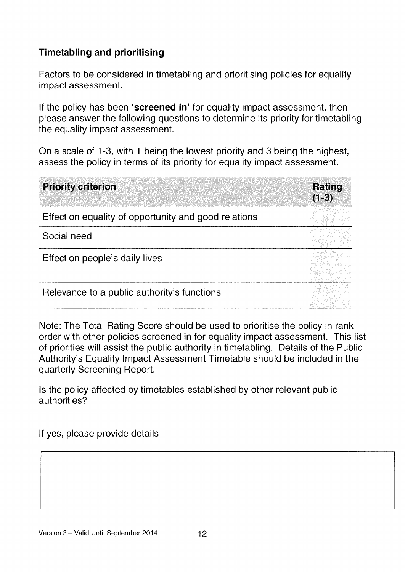# Timetabling and prioritising

Factors to be considered in timetabling and prioritising policies for equality impact assessment.

If the policy has been 'screened in' for equality impact assessment, then please answer the following questions to determine its priority for timetabling the equality impact assessment.

On a scale of <sup>1</sup> -3, with <sup>1</sup> being the lowest priority and 3 being the highest, assess the policy in terms of its priority for equality impact assessment.

| <b>Priority criterion</b>                            | Rating<br>$(1-3)$ |
|------------------------------------------------------|-------------------|
| Effect on equality of opportunity and good relations |                   |
| Social need                                          |                   |
| Effect on people's daily lives                       |                   |
| Relevance to a public authority's functions          |                   |

Note: The Total Rating Score should be used to prioritise the policy in rank order with other policies screened in for equality impact assessment. This list of priorities will assist the public authority in timetabling. Details of the Public Authority's Equality Impact Assessment Timetable should be included in the quarterly Screening Report.

Is the policy affected by timetables established by other relevant public authorities?

If yes, please provide details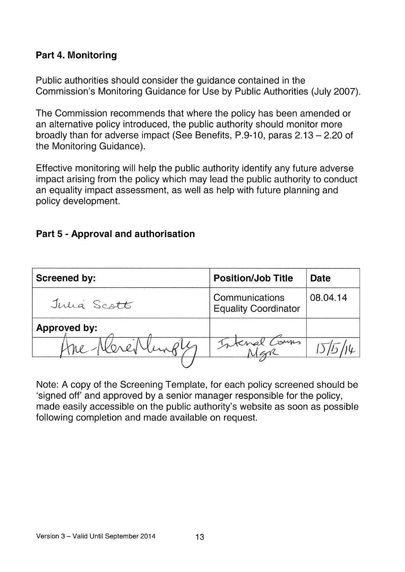# Part 4. Monitoring

Public authorities should consider the guidance contained in the Commission's Monitoring Guidance for Use by Public Authorities (July 2007).

The Commission recommends that where the policy has been amended or an alternative policy introduced, the public authority should monitor more broadly than for adverse impact (See Benefits, P.9-10, paras 2.13— 2.20 of the Monitoring Guidance).

Effective monitoring will help the public authority identify any future adverse impact arising from the policy which may lead the public authority to conduct an equality impact assessment, as well as help with future planning and policy development.

## Part 5 - Approval and authorisation

| <b>Screened by:</b> | <b>Position/Job Title</b>                     | Date     |
|---------------------|-----------------------------------------------|----------|
| Julia Scott         | Communications<br><b>Equality Coordinator</b> | 08.04.14 |
| <b>Approved by:</b> |                                               |          |
|                     | Internal Comms                                |          |
|                     |                                               |          |

Note: A copy of the Screening Template, for each policy screened should be 'signed off' and approved by a senior manager responsible for the policy, made easily accessible on the public authority's website as soon as possible following completion and made available on request.